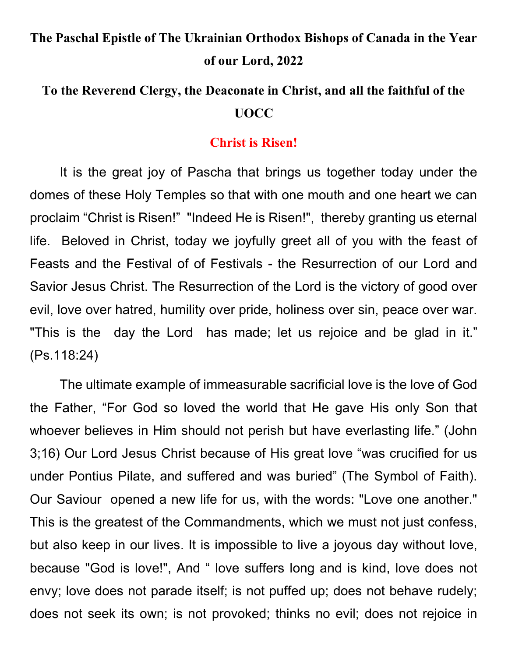# The Paschal Epistle of The Ukrainian Orthodox Bishops of Canada in the Year of our Lord, 2022

## To the Reverend Clergy, the Deaconate in Christ, and all the faithful of the UOCC

#### Christ is Risen!

It is the great joy of Pascha that brings us together today under the domes of these Holy Temples so that with one mouth and one heart we can proclaim "Christ is Risen!" "Indeed He is Risen!", thereby granting us eternal life. Beloved in Christ, today we joyfully greet all of you with the feast of Feasts and the Festival of of Festivals - the Resurrection of our Lord and Savior Jesus Christ. The Resurrection of the Lord is the victory of good over evil, love over hatred, humility over pride, holiness over sin, peace over war. "This is the day the Lord has made; let us rejoice and be glad in it." (Ps.118:24)

The ultimate example of immeasurable sacrificial love is the love of God the Father, "For God so loved the world that He gave His only Son that whoever believes in Him should not perish but have everlasting life." (John 3;16) Our Lord Jesus Christ because of His great love "was crucified for us under Pontius Pilate, and suffered and was buried" (The Symbol of Faith). Our Saviour opened a new life for us, with the words: "Love one another." This is the greatest of the Commandments, which we must not just confess, but also keep in our lives. It is impossible to live a joyous day without love, because "God is love!", And " love suffers long and is kind, love does not envy; love does not parade itself; is not puffed up; does not behave rudely; does not seek its own; is not provoked; thinks no evil; does not rejoice in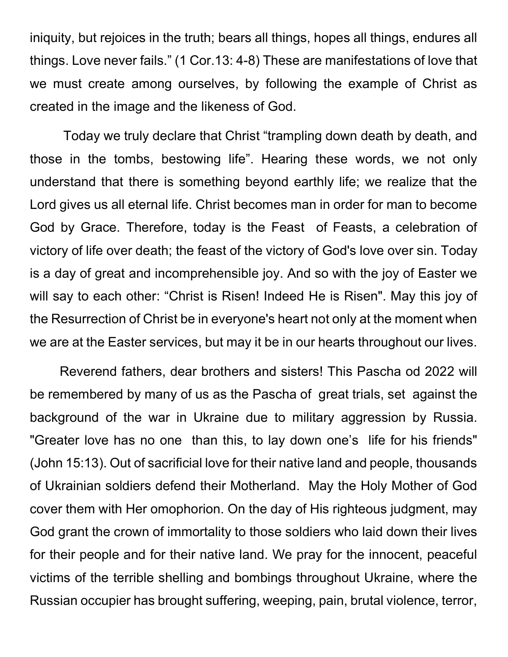iniquity, but rejoices in the truth; bears all things, hopes all things, endures all things. Love never fails." (1 Cor.13: 4-8) These are manifestations of love that we must create among ourselves, by following the example of Christ as created in the image and the likeness of God.

 Today we truly declare that Christ "trampling down death by death, and those in the tombs, bestowing life". Hearing these words, we not only understand that there is something beyond earthly life; we realize that the Lord gives us all eternal life. Christ becomes man in order for man to become God by Grace. Therefore, today is the Feast of Feasts, a celebration of victory of life over death; the feast of the victory of God's love over sin. Today is a day of great and incomprehensible joy. And so with the joy of Easter we will say to each other: "Christ is Risen! Indeed He is Risen". May this joy of the Resurrection of Christ be in everyone's heart not only at the moment when we are at the Easter services, but may it be in our hearts throughout our lives.

Reverend fathers, dear brothers and sisters! This Pascha od 2022 will be remembered by many of us as the Pascha of great trials, set against the background of the war in Ukraine due to military aggression by Russia. "Greater love has no one than this, to lay down one's life for his friends" (John 15:13). Out of sacrificial love for their native land and people, thousands of Ukrainian soldiers defend their Motherland. May the Holy Mother of God cover them with Her omophorion. On the day of His righteous judgment, may God grant the crown of immortality to those soldiers who laid down their lives for their people and for their native land. We pray for the innocent, peaceful victims of the terrible shelling and bombings throughout Ukraine, where the Russian occupier has brought suffering, weeping, pain, brutal violence, terror,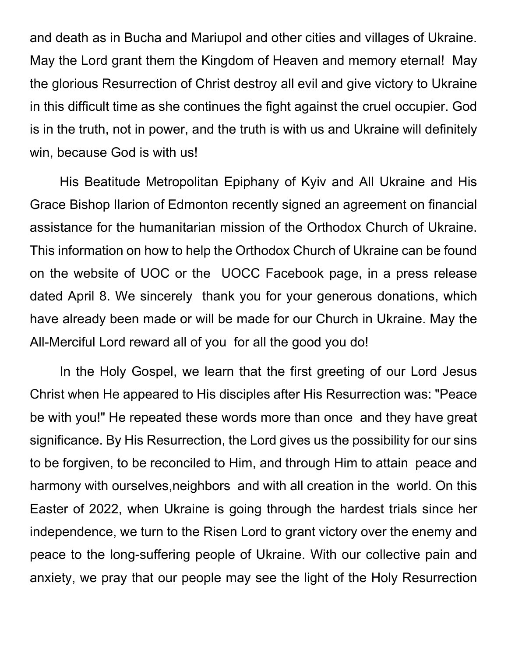and death as in Bucha and Mariupol and other cities and villages of Ukraine. May the Lord grant them the Kingdom of Heaven and memory eternal! May the glorious Resurrection of Christ destroy all evil and give victory to Ukraine in this difficult time as she continues the fight against the cruel occupier. God is in the truth, not in power, and the truth is with us and Ukraine will definitely win, because God is with us!

His Beatitude Metropolitan Epiphany of Kyiv and All Ukraine and His Grace Bishop Ilarion of Edmonton recently signed an agreement on financial assistance for the humanitarian mission of the Orthodox Church of Ukraine. This information on how to help the Orthodox Church of Ukraine can be found on the website of UOC or the UOCC Facebook page, in a press release dated April 8. We sincerely thank you for your generous donations, which have already been made or will be made for our Church in Ukraine. May the All-Merciful Lord reward all of you for all the good you do!

 In the Holy Gospel, we learn that the first greeting of our Lord Jesus Christ when He appeared to His disciples after His Resurrection was: "Peace be with you!" He repeated these words more than once and they have great significance. By His Resurrection, the Lord gives us the possibility for our sins to be forgiven, to be reconciled to Him, and through Him to attain peace and harmony with ourselves,neighbors and with all creation in the world. On this Easter of 2022, when Ukraine is going through the hardest trials since her independence, we turn to the Risen Lord to grant victory over the enemy and peace to the long-suffering people of Ukraine. With our collective pain and anxiety, we pray that our people may see the light of the Holy Resurrection